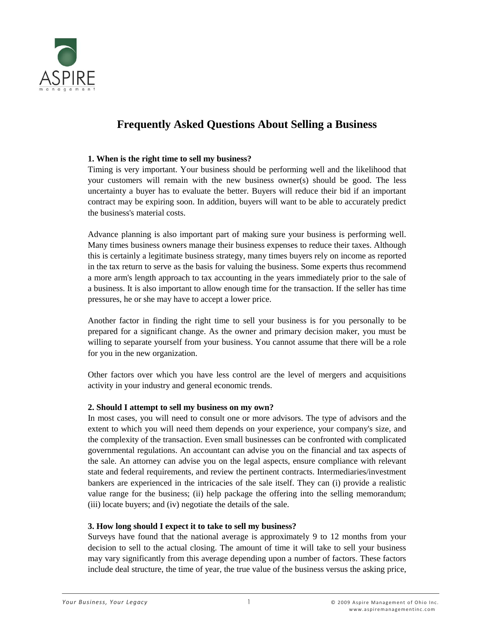

# **Frequently Asked Questions About Selling a Business**

#### **1. When is the right time to sell my business?**

Timing is very important. Your business should be performing well and the likelihood that your customers will remain with the new business owner(s) should be good. The less uncertainty a buyer has to evaluate the better. Buyers will reduce their bid if an important contract may be expiring soon. In addition, buyers will want to be able to accurately predict the business's material costs.

Advance planning is also important part of making sure your business is performing well. Many times business owners manage their business expenses to reduce their taxes. Although this is certainly a legitimate business strategy, many times buyers rely on income as reported in the tax return to serve as the basis for valuing the business. Some experts thus recommend a more arm's length approach to tax accounting in the years immediately prior to the sale of a business. It is also important to allow enough time for the transaction. If the seller has time pressures, he or she may have to accept a lower price.

Another factor in finding the right time to sell your business is for you personally to be prepared for a significant change. As the owner and primary decision maker, you must be willing to separate yourself from your business. You cannot assume that there will be a role for you in the new organization.

Other factors over which you have less control are the level of mergers and acquisitions activity in your industry and general economic trends.

## **2. Should I attempt to sell my business on my own?**

In most cases, you will need to consult one or more advisors. The type of advisors and the extent to which you will need them depends on your experience, your company's size, and the complexity of the transaction. Even small businesses can be confronted with complicated governmental regulations. An accountant can advise you on the financial and tax aspects of the sale. An attorney can advise you on the legal aspects, ensure compliance with relevant state and federal requirements, and review the pertinent contracts. Intermediaries/investment bankers are experienced in the intricacies of the sale itself. They can (i) provide a realistic value range for the business; (ii) help package the offering into the selling memorandum; (iii) locate buyers; and (iv) negotiate the details of the sale.

#### **3. How long should I expect it to take to sell my business?**

Surveys have found that the national average is approximately 9 to 12 months from your decision to sell to the actual closing. The amount of time it will take to sell your business may vary significantly from this average depending upon a number of factors. These factors include deal structure, the time of year, the true value of the business versus the asking price,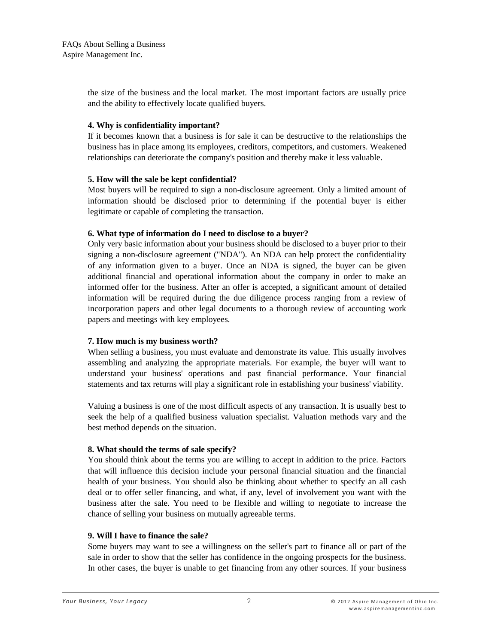the size of the business and the local market. The most important factors are usually price and the ability to effectively locate qualified buyers.

## **4. Why is confidentiality important?**

If it becomes known that a business is for sale it can be destructive to the relationships the business has in place among its employees, creditors, competitors, and customers. Weakened relationships can deteriorate the company's position and thereby make it less valuable.

# **5. How will the sale be kept confidential?**

Most buyers will be required to sign a non-disclosure agreement. Only a limited amount of information should be disclosed prior to determining if the potential buyer is either legitimate or capable of completing the transaction.

# **6. What type of information do I need to disclose to a buyer?**

Only very basic information about your business should be disclosed to a buyer prior to their signing a non-disclosure agreement ("NDA"). An NDA can help protect the confidentiality of any information given to a buyer. Once an NDA is signed, the buyer can be given additional financial and operational information about the company in order to make an informed offer for the business. After an offer is accepted, a significant amount of detailed information will be required during the due diligence process ranging from a review of incorporation papers and other legal documents to a thorough review of accounting work papers and meetings with key employees.

# **7. How much is my business worth?**

When selling a business, you must evaluate and demonstrate its value. This usually involves assembling and analyzing the appropriate materials. For example, the buyer will want to understand your business' operations and past financial performance. Your financial statements and tax returns will play a significant role in establishing your business' viability.

Valuing a business is one of the most difficult aspects of any transaction. It is usually best to seek the help of a qualified business valuation specialist. Valuation methods vary and the best method depends on the situation.

## **8. What should the terms of sale specify?**

You should think about the terms you are willing to accept in addition to the price. Factors that will influence this decision include your personal financial situation and the financial health of your business. You should also be thinking about whether to specify an all cash deal or to offer seller financing, and what, if any, level of involvement you want with the business after the sale. You need to be flexible and willing to negotiate to increase the chance of selling your business on mutually agreeable terms.

## **9. Will I have to finance the sale?**

Some buyers may want to see a willingness on the seller's part to finance all or part of the sale in order to show that the seller has confidence in the ongoing prospects for the business. In other cases, the buyer is unable to get financing from any other sources. If your business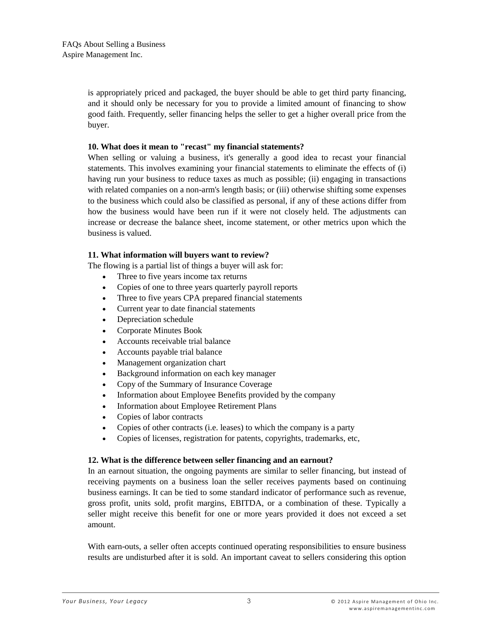is appropriately priced and packaged, the buyer should be able to get third party financing, and it should only be necessary for you to provide a limited amount of financing to show good faith. Frequently, seller financing helps the seller to get a higher overall price from the buyer.

#### **10. What does it mean to "recast" my financial statements?**

When selling or valuing a business, it's generally a good idea to recast your financial statements. This involves examining your financial statements to eliminate the effects of (i) having run your business to reduce taxes as much as possible; (ii) engaging in transactions with related companies on a non-arm's length basis; or (iii) otherwise shifting some expenses to the business which could also be classified as personal, if any of these actions differ from how the business would have been run if it were not closely held. The adjustments can increase or decrease the balance sheet, income statement, or other metrics upon which the business is valued.

## **11. What information will buyers want to review?**

The flowing is a partial list of things a buyer will ask for:

- Three to five years income tax returns
- Copies of one to three years quarterly payroll reports
- Three to five years CPA prepared financial statements
- Current year to date financial statements
- Depreciation schedule
- Corporate Minutes Book
- Accounts receivable trial balance
- Accounts payable trial balance
- Management organization chart
- Background information on each key manager
- Copy of the Summary of Insurance Coverage
- Information about Employee Benefits provided by the company
- Information about Employee Retirement Plans
- Copies of labor contracts
- Copies of other contracts (i.e. leases) to which the company is a party
- Copies of licenses, registration for patents, copyrights, trademarks, etc,

#### **12. What is the difference between seller financing and an earnout?**

In an earnout situation, the ongoing payments are similar to seller financing, but instead of receiving payments on a business loan the seller receives payments based on continuing business earnings. It can be tied to some standard indicator of performance such as revenue, gross profit, units sold, profit margins, EBITDA, or a combination of these. Typically a seller might receive this benefit for one or more years provided it does not exceed a set amount.

With earn-outs, a seller often accepts continued operating responsibilities to ensure business results are undisturbed after it is sold. An important caveat to sellers considering this option